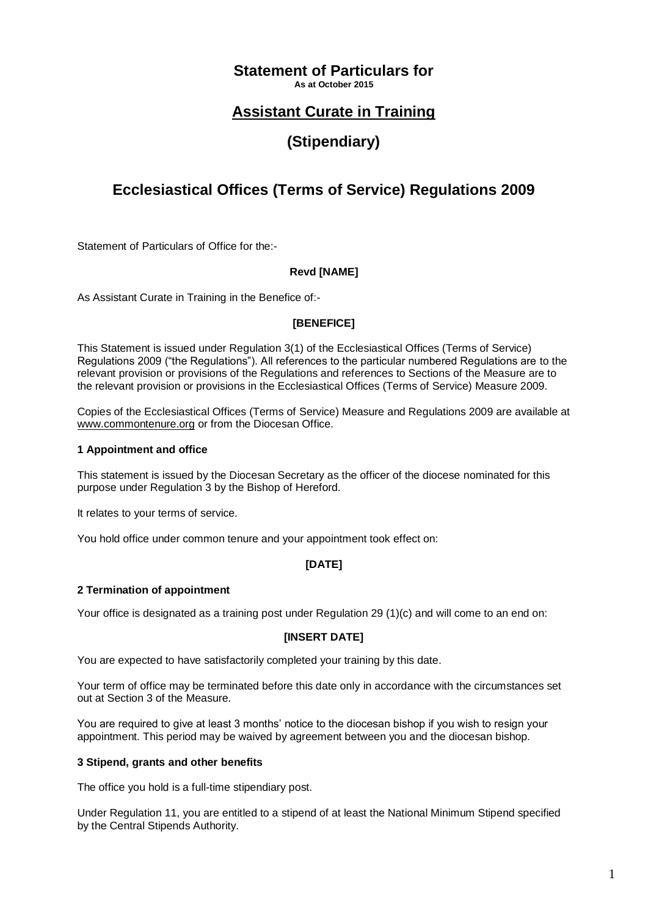## **Statement of Particulars for**

**As at October 2015**

## **Assistant Curate in Training**

# **(Stipendiary)**

# **Ecclesiastical Offices (Terms of Service) Regulations 2009**

Statement of Particulars of Office for the:-

## **Revd [NAME]**

As Assistant Curate in Training in the Benefice of:-

## **[BENEFICE]**

This Statement is issued under Regulation 3(1) of the Ecclesiastical Offices (Terms of Service) Regulations 2009 ("the Regulations"). All references to the particular numbered Regulations are to the relevant provision or provisions of the Regulations and references to Sections of the Measure are to the relevant provision or provisions in the Ecclesiastical Offices (Terms of Service) Measure 2009.

Copies of the Ecclesiastical Offices (Terms of Service) Measure and Regulations 2009 are available at [www.commontenure.org](http://www.commontenure.org/) or from the Diocesan Office.

## **1 Appointment and office**

This statement is issued by the Diocesan Secretary as the officer of the diocese nominated for this purpose under Regulation 3 by the Bishop of Hereford.

It relates to your terms of service.

You hold office under common tenure and your appointment took effect on:

## **[DATE]**

## **2 Termination of appointment**

Your office is designated as a training post under Regulation 29 (1)(c) and will come to an end on:

## **[INSERT DATE]**

You are expected to have satisfactorily completed your training by this date.

Your term of office may be terminated before this date only in accordance with the circumstances set out at Section 3 of the Measure.

You are required to give at least 3 months' notice to the diocesan bishop if you wish to resign your appointment. This period may be waived by agreement between you and the diocesan bishop.

## **3 Stipend, grants and other benefits**

The office you hold is a full-time stipendiary post.

Under Regulation 11, you are entitled to a stipend of at least the National Minimum Stipend specified by the Central Stipends Authority.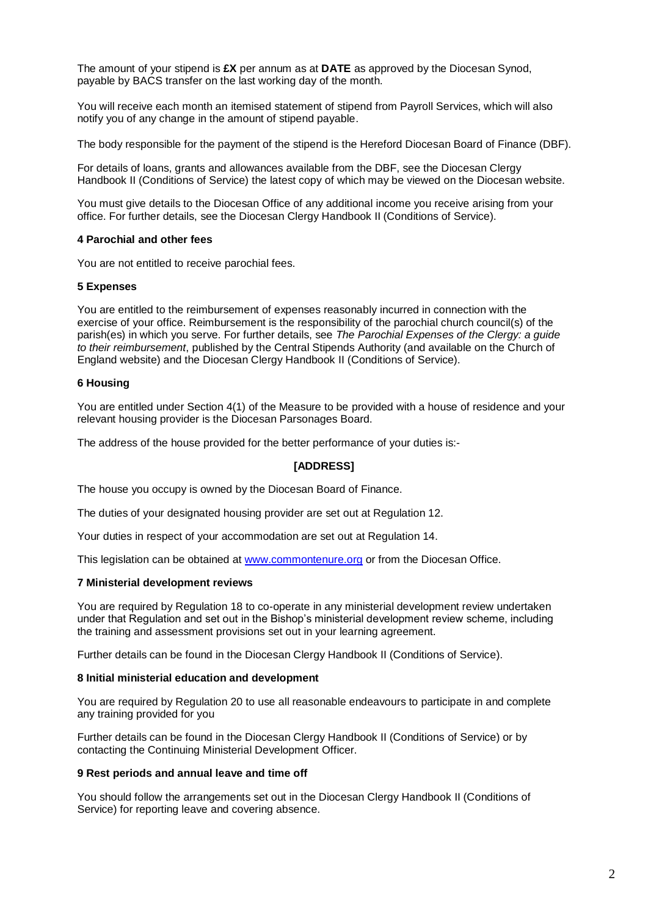The amount of your stipend is **£X** per annum as at **DATE** as approved by the Diocesan Synod, payable by BACS transfer on the last working day of the month.

You will receive each month an itemised statement of stipend from Payroll Services, which will also notify you of any change in the amount of stipend payable.

The body responsible for the payment of the stipend is the Hereford Diocesan Board of Finance (DBF).

For details of loans, grants and allowances available from the DBF, see the Diocesan Clergy Handbook II (Conditions of Service) the latest copy of which may be viewed on the Diocesan website.

You must give details to the Diocesan Office of any additional income you receive arising from your office. For further details, see the Diocesan Clergy Handbook II (Conditions of Service).

### **4 Parochial and other fees**

You are not entitled to receive parochial fees.

#### **5 Expenses**

You are entitled to the reimbursement of expenses reasonably incurred in connection with the exercise of your office. Reimbursement is the responsibility of the parochial church council(s) of the parish(es) in which you serve. For further details, see *The Parochial Expenses of the Clergy: a guide to their reimbursement*, published by the Central Stipends Authority (and available on the Church of England website) and the Diocesan Clergy Handbook II (Conditions of Service).

#### **6 Housing**

You are entitled under Section 4(1) of the Measure to be provided with a house of residence and your relevant housing provider is the Diocesan Parsonages Board.

The address of the house provided for the better performance of your duties is:-

## **[ADDRESS]**

The house you occupy is owned by the Diocesan Board of Finance.

The duties of your designated housing provider are set out at Regulation 12.

Your duties in respect of your accommodation are set out at Regulation 14.

This legislation can be obtained at [www.commontenure.org](http://www.commontenure.org/) or from the Diocesan Office.

#### **7 Ministerial development reviews**

You are required by Regulation 18 to co-operate in any ministerial development review undertaken under that Regulation and set out in the Bishop's ministerial development review scheme, including the training and assessment provisions set out in your learning agreement.

Further details can be found in the Diocesan Clergy Handbook II (Conditions of Service).

#### **8 Initial ministerial education and development**

You are required by Regulation 20 to use all reasonable endeavours to participate in and complete any training provided for you

Further details can be found in the Diocesan Clergy Handbook II (Conditions of Service) or by contacting the Continuing Ministerial Development Officer.

#### **9 Rest periods and annual leave and time off**

You should follow the arrangements set out in the Diocesan Clergy Handbook II (Conditions of Service) for reporting leave and covering absence.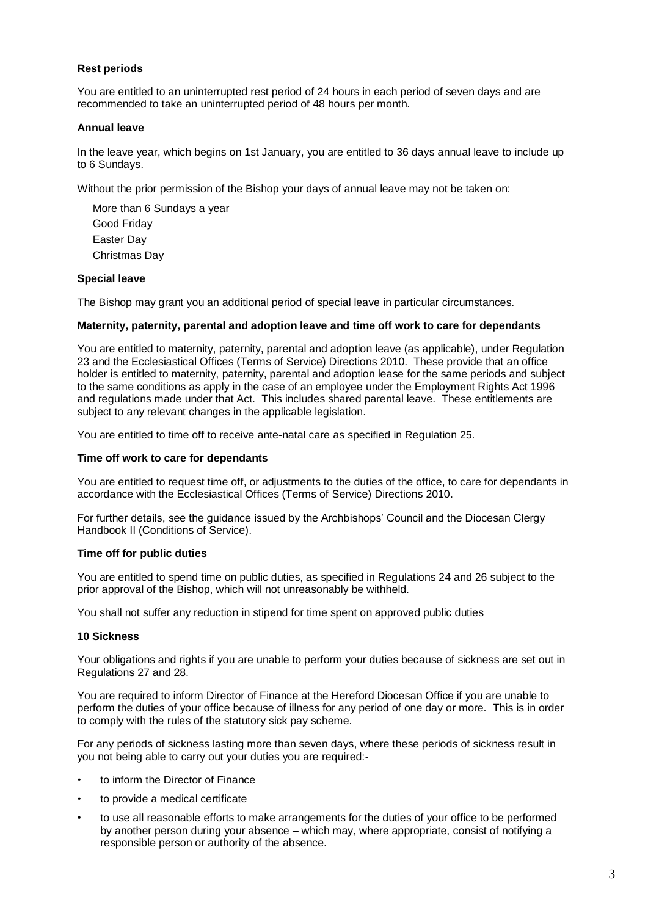## **Rest periods**

You are entitled to an uninterrupted rest period of 24 hours in each period of seven days and are recommended to take an uninterrupted period of 48 hours per month.

#### **Annual leave**

In the leave year, which begins on 1st January, you are entitled to 36 days annual leave to include up to 6 Sundays.

Without the prior permission of the Bishop your days of annual leave may not be taken on:

More than 6 Sundays a year Good Friday Easter Day Christmas Day

## **Special leave**

The Bishop may grant you an additional period of special leave in particular circumstances.

#### **Maternity, paternity, parental and adoption leave and time off work to care for dependants**

You are entitled to maternity, paternity, parental and adoption leave (as applicable), under Regulation 23 and the Ecclesiastical Offices (Terms of Service) Directions 2010. These provide that an office holder is entitled to maternity, paternity, parental and adoption lease for the same periods and subject to the same conditions as apply in the case of an employee under the Employment Rights Act 1996 and regulations made under that Act. This includes shared parental leave. These entitlements are subject to any relevant changes in the applicable legislation.

You are entitled to time off to receive ante-natal care as specified in Regulation 25.

#### **Time off work to care for dependants**

You are entitled to request time off, or adjustments to the duties of the office, to care for dependants in accordance with the Ecclesiastical Offices (Terms of Service) Directions 2010.

For further details, see the guidance issued by the Archbishops' Council and the Diocesan Clergy Handbook II (Conditions of Service).

#### **Time off for public duties**

You are entitled to spend time on public duties, as specified in Regulations 24 and 26 subject to the prior approval of the Bishop, which will not unreasonably be withheld.

You shall not suffer any reduction in stipend for time spent on approved public duties

### **10 Sickness**

Your obligations and rights if you are unable to perform your duties because of sickness are set out in Regulations 27 and 28.

You are required to inform Director of Finance at the Hereford Diocesan Office if you are unable to perform the duties of your office because of illness for any period of one day or more. This is in order to comply with the rules of the statutory sick pay scheme*.* 

For any periods of sickness lasting more than seven days, where these periods of sickness result in you not being able to carry out your duties you are required:-

- to inform the Director of Finance
- to provide a medical certificate
- to use all reasonable efforts to make arrangements for the duties of your office to be performed by another person during your absence – which may, where appropriate, consist of notifying a responsible person or authority of the absence.